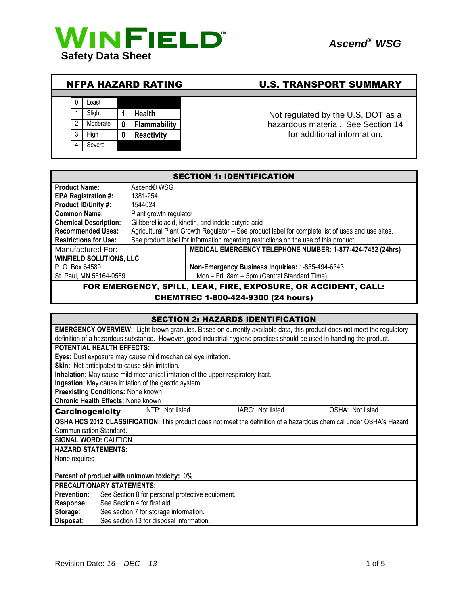

## NFPA HAZARD RATING U.S. TRANSPORT SUMMARY



<sup>1</sup> Slight **1 Health 1 Health** Not regulated by the U.S. DOT as a<br><sup>2</sup> Moderate **0 Flammability** hazardous material. See Section 14 hazardous material. See Section 14 for additional information.

| <b>SECTION 1: IDENTIFICATION</b>                               |                                                                                                  |                                                                                      |  |
|----------------------------------------------------------------|--------------------------------------------------------------------------------------------------|--------------------------------------------------------------------------------------|--|
| <b>Product Name:</b>                                           | Ascend® WSG                                                                                      |                                                                                      |  |
| <b>EPA Registration #:</b>                                     | 1381-254                                                                                         |                                                                                      |  |
| Product ID/Unity #:                                            | 1544024                                                                                          |                                                                                      |  |
| <b>Common Name:</b>                                            | Plant growth regulator                                                                           |                                                                                      |  |
| <b>Chemical Description:</b>                                   | Giibberellic acid, kinetin, and indole butyric acid                                              |                                                                                      |  |
| <b>Recommended Uses:</b>                                       | Agricultural Plant Growth Regulator - See product label for complete list of uses and use sites. |                                                                                      |  |
| <b>Restrictions for Use:</b>                                   |                                                                                                  | See product label for information regarding restrictions on the use of this product. |  |
| Manufactured For:                                              |                                                                                                  | MEDICAL EMERGENCY TELEPHONE NUMBER: 1-877-424-7452 (24hrs)                           |  |
| <b>WINFIELD SOLUTIONS, LLC</b>                                 |                                                                                                  |                                                                                      |  |
| P. O. Box 64589                                                |                                                                                                  | Non-Emergency Business Inquiries: 1-855-494-6343                                     |  |
| St. Paul, MN 55164-0589                                        |                                                                                                  | Mon - Fri 8am - 5pm (Central Standard Time)                                          |  |
| FOR EMERGENCY, SPILL, LEAK, FIRE, EXPOSURE, OR ACCIDENT, CALL: |                                                                                                  |                                                                                      |  |

## CHEMTREC 1-800-424-9300 (24 hours)

| <b>SECTION 2: HAZARDS IDENTIFICATION</b>                                                                                      |  |  |
|-------------------------------------------------------------------------------------------------------------------------------|--|--|
| <b>EMERGENCY OVERVIEW:</b> Light brown granules. Based on currently available data, this product does not meet the regulatory |  |  |
| definition of a hazardous substance. However, good industrial hygiene practices should be used in handling the product.       |  |  |
| <b>POTENTIAL HEALTH EFFECTS:</b>                                                                                              |  |  |
| Eyes: Dust exposure may cause mild mechanical eye irritation.                                                                 |  |  |
| Skin: Not anticipated to cause skin irritation.                                                                               |  |  |
| Inhalation: May cause mild mechanical irritation of the upper respiratory tract.                                              |  |  |
| Ingestion: May cause irritation of the gastric system.                                                                        |  |  |
| <b>Preexisting Conditions: None known</b>                                                                                     |  |  |
| <b>Chronic Health Effects: None known</b>                                                                                     |  |  |
| NTP: Not listed<br>IARC: Not listed<br>OSHA: Not listed<br><b>Carcinogenicity</b>                                             |  |  |
| OSHA HCS 2012 CLASSIFICATION: This product does not meet the definition of a hazardous chemical under OSHA's Hazard           |  |  |
| Communication Standard.                                                                                                       |  |  |
| <b>SIGNAL WORD: CAUTION</b>                                                                                                   |  |  |
| <b>HAZARD STATEMENTS:</b>                                                                                                     |  |  |
| None required                                                                                                                 |  |  |
|                                                                                                                               |  |  |
| Percent of product with unknown toxicity: 0%                                                                                  |  |  |
| <b>PRECAUTIONARY STATEMENTS:</b>                                                                                              |  |  |
| <b>Prevention:</b><br>See Section 8 for personal protective equipment.                                                        |  |  |
| See Section 4 for first aid.<br><b>Response:</b>                                                                              |  |  |
| Storage:<br>See section 7 for storage information.                                                                            |  |  |
| See section 13 for disposal information.<br>Disposal:                                                                         |  |  |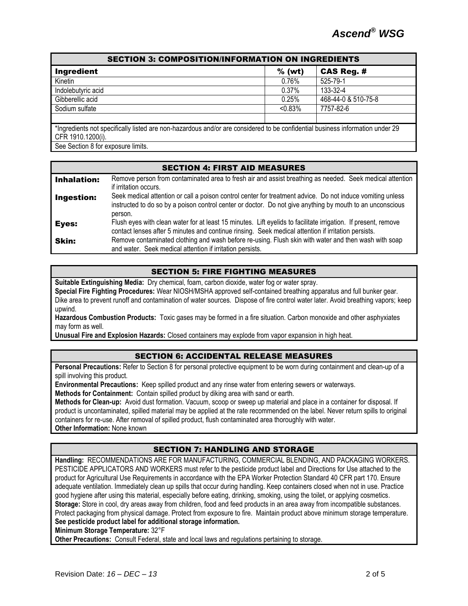| <b>SECTION 3: COMPOSITION/INFORMATION ON INGREDIENTS</b>                                                                      |            |                     |
|-------------------------------------------------------------------------------------------------------------------------------|------------|---------------------|
| Ingredient                                                                                                                    | $%$ (wt)   | <b>CAS Reg. #</b>   |
| Kinetin                                                                                                                       | 0.76%      | 525-79-1            |
| Indolebutyric acid                                                                                                            | 0.37%      | 133-32-4            |
| Gibberellic acid                                                                                                              | 0.25%      | 468-44-0 & 510-75-8 |
| Sodium sulfate                                                                                                                | $< 0.83\%$ | 7757-82-6           |
|                                                                                                                               |            |                     |
| *Ingredients not specifically listed are non-hazardous and/or are considered to be confidential business information under 29 |            |                     |
| CFR 1910.1200(i).                                                                                                             |            |                     |

See Section 8 for exposure limits.

| <b>SECTION 4: FIRST AID MEASURES</b> |                                                                                                                                                                                                                                    |  |  |
|--------------------------------------|------------------------------------------------------------------------------------------------------------------------------------------------------------------------------------------------------------------------------------|--|--|
| <b>Inhalation:</b>                   | Remove person from contaminated area to fresh air and assist breathing as needed. Seek medical attention<br>if irritation occurs.                                                                                                  |  |  |
| Ingestion:                           | Seek medical attention or call a poison control center for treatment advice. Do not induce vomiting unless<br>instructed to do so by a poison control center or doctor. Do not give anything by mouth to an unconscious<br>person. |  |  |
| Eyes:                                | Flush eyes with clean water for at least 15 minutes. Lift eyelids to facilitate irrigation. If present, remove<br>contact lenses after 5 minutes and continue rinsing. Seek medical attention if irritation persists.              |  |  |
| Skin:                                | Remove contaminated clothing and wash before re-using. Flush skin with water and then wash with soap<br>and water. Seek medical attention if irritation persists.                                                                  |  |  |

#### SECTION 5: FIRE FIGHTING MEASURES

**Suitable Extinguishing Media:** Dry chemical, foam, carbon dioxide, water fog or water spray.

**Special Fire Fighting Procedures:** Wear NIOSH/MSHA approved self-contained breathing apparatus and full bunker gear. Dike area to prevent runoff and contamination of water sources. Dispose of fire control water later. Avoid breathing vapors; keep upwind.

**Hazardous Combustion Products:** Toxic gases may be formed in a fire situation. Carbon monoxide and other asphyxiates may form as well.

**Unusual Fire and Explosion Hazards:** Closed containers may explode from vapor expansion in high heat.

#### SECTION 6: ACCIDENTAL RELEASE MEASURES

**Personal Precautions:** Refer to Section 8 for personal protective equipment to be worn during containment and clean-up of a spill involving this product.

**Environmental Precautions:** Keep spilled product and any rinse water from entering sewers or waterways.

**Methods for Containment:** Contain spilled product by diking area with sand or earth.

**Methods for Clean-up:** Avoid dust formation. Vacuum, scoop or sweep up material and place in a container for disposal. If product is uncontaminated, spilled material may be applied at the rate recommended on the label. Never return spills to original containers for re-use. After removal of spilled product, flush contaminated area thoroughly with water. **Other Information:** None known

#### SECTION 7: HANDLING AND STORAGE

**Handling:** RECOMMENDATIONS ARE FOR MANUFACTURING, COMMERCIAL BLENDING, AND PACKAGING WORKERS. PESTICIDE APPLICATORS AND WORKERS must refer to the pesticide product label and Directions for Use attached to the product for Agricultural Use Requirements in accordance with the EPA Worker Protection Standard 40 CFR part 170. Ensure adequate ventilation. Immediately clean up spills that occur during handling. Keep containers closed when not in use. Practice good hygiene after using this material, especially before eating, drinking, smoking, using the toilet, or applying cosmetics. **Storage:** Store in cool, dry areas away from children, food and feed products in an area away from incompatible substances. Protect packaging from physical damage. Protect from exposure to fire. Maintain product above minimum storage temperature. **See pesticide product label for additional storage information.**

**Minimum Storage Temperature:** 32°F

**Other Precautions:** Consult Federal, state and local laws and regulations pertaining to storage.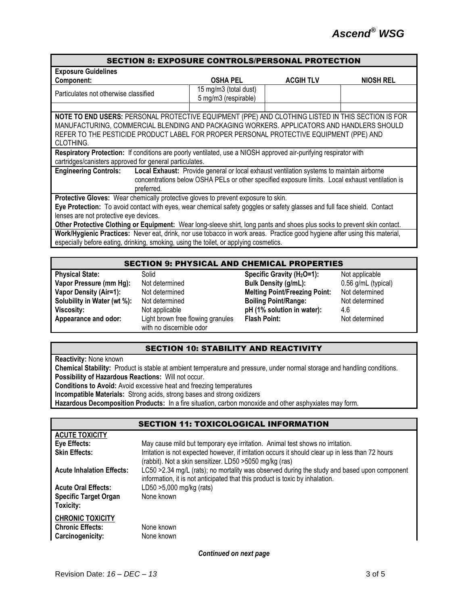| <b>SECTION 8: EXPOSURE CONTROLS/PERSONAL PROTECTION</b>                                                                                                                                                                                                                                                |                                               |                 |                           |
|--------------------------------------------------------------------------------------------------------------------------------------------------------------------------------------------------------------------------------------------------------------------------------------------------------|-----------------------------------------------|-----------------|---------------------------|
| <b>Exposure Guidelines</b>                                                                                                                                                                                                                                                                             |                                               |                 |                           |
| Component:                                                                                                                                                                                                                                                                                             | <b>OSHA PEL</b>                               | <b>ACGIHTLV</b> | <b>NIOSH REL</b>          |
| Particulates not otherwise classified                                                                                                                                                                                                                                                                  | 15 mg/m3 (total dust)<br>5 mg/m3 (respirable) |                 |                           |
|                                                                                                                                                                                                                                                                                                        |                                               |                 |                           |
| NOTE TO END USERS: PERSONAL PROTECTIVE EQUIPMENT (PPE) AND CLOTHING LISTED IN THIS SECTION IS FOR<br>MANUFACTURING, COMMERCIAL BLENDING AND PACKAGING WORKERS. APPLICATORS AND HANDLERS SHOULD<br>REFER TO THE PESTICIDE PRODUCT LABEL FOR PROPER PERSONAL PROTECTIVE EQUIPMENT (PPE) AND<br>CLOTHING. |                                               |                 |                           |
| Respiratory Protection: If conditions are poorly ventilated, use a NIOSH approved air-purifying respirator with                                                                                                                                                                                        |                                               |                 |                           |
| cartridges/canisters approved for general particulates.                                                                                                                                                                                                                                                |                                               |                 |                           |
| <b>Engineering Controls:</b><br>Local Exhaust: Provide general or local exhaust ventilation systems to maintain airborne<br>concentrations below OSHA PELs or other specified exposure limits. Local exhaust ventilation is<br>preferred.                                                              |                                               |                 |                           |
| Protective Gloves: Wear chemically protective gloves to prevent exposure to skin.                                                                                                                                                                                                                      |                                               |                 |                           |
| Eye Protection: To avoid contact with eyes, wear chemical safety goggles or safety glasses and full face shield. Contact<br>lenses are not protective eye devices.                                                                                                                                     |                                               |                 |                           |
| Other Protective Clothing or Equipment: Wear long-sleeve shirt, long pants and shoes plus socks to prevent skin contact.                                                                                                                                                                               |                                               |                 |                           |
| Work/Hygienic Practices: Never eat, drink, nor use tobacco in work areas. Practice good hygiene after using this material,<br>especially before eating, drinking, smoking, using the toilet, or applying cosmetics.                                                                                    |                                               |                 |                           |
|                                                                                                                                                                                                                                                                                                        |                                               |                 |                           |
| <b>SECTION 9: PHYSICAL AND CHEMICAL PROPERTIES</b>                                                                                                                                                                                                                                                     |                                               |                 |                           |
| <b>DELLETTE DELL</b><br>$0 - 11 - 1$                                                                                                                                                                                                                                                                   |                                               |                 | والمارون المستورية والملط |

**Physical State:** Solid Solid Specific Gravity (H<sub>2</sub>O=1): Not applicable **Vapor Pressure (mm Hg):** Not determined **Bulk Density (g/mL):** 0.56 g/mL (typical) **Vapor Density (Air=1):** Not determined **Melting Point/Freezing Point:** Not determined **Solubility in Water (wt %):** Not determined **Boiling Point/Range:** Not determined **Viscosity:** Not applicable **pH (1% solution in water):** 4.6 **Appearance and odor:** Light brown free flowing granules with no discernible odor **Flash Point:** Not determined

#### SECTION 10: STABILITY AND REACTIVITY

**Reactivity:** None known

**Chemical Stability:** Product is stable at ambient temperature and pressure, under normal storage and handling conditions. **Possibility of Hazardous Reactions:** Will not occur.

**Conditions to Avoid:** Avoid excessive heat and freezing temperatures

**Incompatible Materials:** Strong acids, strong bases and strong oxidizers

**Hazardous Decomposition Products:** In a fire situation, carbon monoxide and other asphyxiates may form.

SECTION 11: TOXICOLOGICAL INFORMATION

|                                                                        | SECTION 11: TOXICOLOGICAL INFORMATION                                                                                                                                        |
|------------------------------------------------------------------------|------------------------------------------------------------------------------------------------------------------------------------------------------------------------------|
| <b>ACUTE TOXICITY</b>                                                  |                                                                                                                                                                              |
| Eye Effects:                                                           | May cause mild but temporary eye irritation. Animal test shows no irritation.                                                                                                |
| <b>Skin Effects:</b>                                                   | Irritation is not expected however, if irritation occurs it should clear up in less than 72 hours<br>(rabbit). Not a skin sensitizer. LD50 >5050 mg/kg (ras)                 |
| <b>Acute Inhalation Effects:</b>                                       | LC50 > 2.34 mg/L (rats); no mortality was observed during the study and based upon component<br>information, it is not anticipated that this product is toxic by inhalation. |
| <b>Acute Oral Effects:</b>                                             | LD50 >5,000 mg/kg (rats)                                                                                                                                                     |
| <b>Specific Target Organ</b><br>Toxicity:                              | None known                                                                                                                                                                   |
| <b>CHRONIC TOXICITY</b><br><b>Chronic Effects:</b><br>Carcinogenicity: | None known<br>None known                                                                                                                                                     |

*Continued on next page*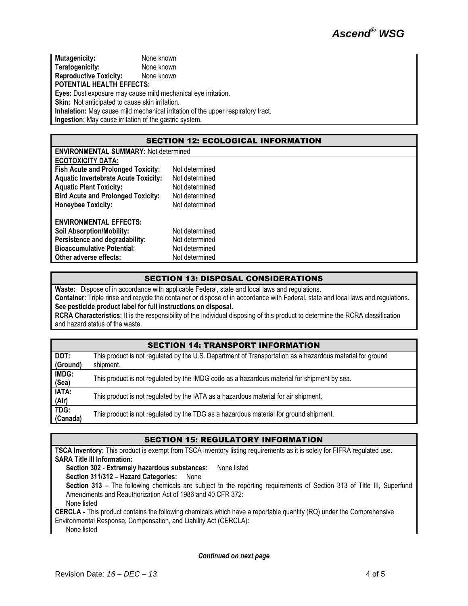**Mutagenicity:** None known **Teratogenicity:** None known **Reproductive Toxicity:** None known **POTENTIAL HEALTH EFFECTS: Eyes:** Dust exposure may cause mild mechanical eye irritation. **Skin:** Not anticipated to cause skin irritation. **Inhalation:** May cause mild mechanical irritation of the upper respiratory tract. **Ingestion:** May cause irritation of the gastric system.

#### SECTION 12: ECOLOGICAL INFORMATION

| <b>ENVIRONMENTAL SUMMARY: Not determined</b> |                |  |
|----------------------------------------------|----------------|--|
| <b>ECOTOXICITY DATA:</b>                     |                |  |
| <b>Fish Acute and Prolonged Toxicity:</b>    | Not determined |  |
| <b>Aquatic Invertebrate Acute Toxicity:</b>  | Not determined |  |
| <b>Aquatic Plant Toxicity:</b>               | Not determined |  |
| <b>Bird Acute and Prolonged Toxicity:</b>    | Not determined |  |
| <b>Honeybee Toxicity:</b>                    | Not determined |  |
| <b>ENVIRONMENTAL EFFECTS:</b>                |                |  |
| <b>Soil Absorption/Mobility:</b>             | Not determined |  |
| Persistence and degradability:               | Not determined |  |
| <b>Bioaccumulative Potential:</b>            | Not determined |  |
| Other adverse effects:                       | Not determined |  |

## SECTION 13: DISPOSAL CONSIDERATIONS

**Waste:** Dispose of in accordance with applicable Federal, state and local laws and regulations.

**Container:** Triple rinse and recycle the container or dispose of in accordance with Federal, state and local laws and regulations. **See pesticide product label for full instructions on disposal.**

**RCRA Characteristics:** It is the responsibility of the individual disposing of this product to determine the RCRA classification and hazard status of the waste.

# SECTION 14: TRANSPORT INFORMATION

| DOT:     | This product is not regulated by the U.S. Department of Transportation as a hazardous material for ground |  |
|----------|-----------------------------------------------------------------------------------------------------------|--|
| (Ground) | shipment.                                                                                                 |  |
| IMDG:    | This product is not regulated by the IMDG code as a hazardous material for shipment by sea.               |  |
| (Sea)    |                                                                                                           |  |
| IATA:    | This product is not regulated by the IATA as a hazardous material for air shipment.                       |  |
| (Air)    |                                                                                                           |  |
| TDG:     | This product is not regulated by the TDG as a hazardous material for ground shipment.                     |  |
| (Canada) |                                                                                                           |  |

#### SECTION 15: REGULATORY INFORMATION

**TSCA Inventory:** This product is exempt from TSCA inventory listing requirements as it is solely for FIFRA regulated use. **SARA Title III Information:**

**Section 302 - Extremely hazardous substances:** None listed

**Section 311/312 – Hazard Categories:** None

**Section 313 –** The following chemicals are subject to the reporting requirements of Section 313 of Title III, Superfund Amendments and Reauthorization Act of 1986 and 40 CFR 372:

None listed

**CERCLA -** This product contains the following chemicals which have a reportable quantity (RQ) under the Comprehensive

Environmental Response, Compensation, and Liability Act (CERCLA):

None listed

*Continued on next page*